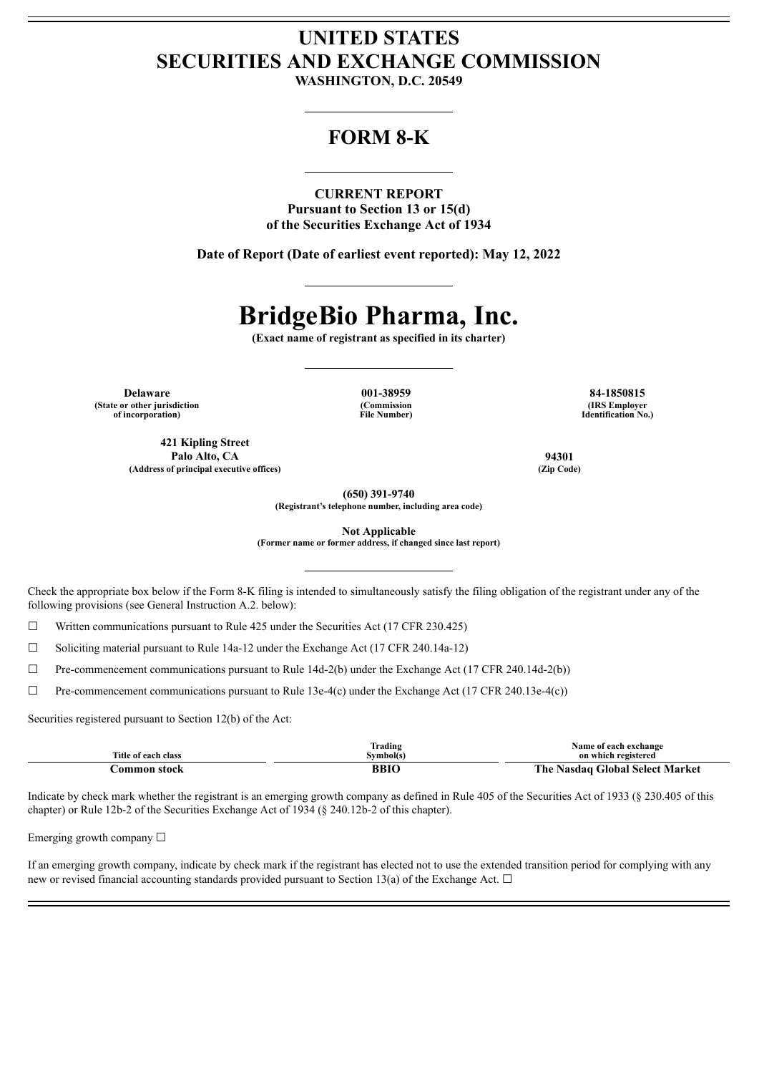## **UNITED STATES SECURITIES AND EXCHANGE COMMISSION**

**WASHINGTON, D.C. 20549**

### **FORM 8-K**

**CURRENT REPORT**

**Pursuant to Section 13 or 15(d) of the Securities Exchange Act of 1934**

**Date of Report (Date of earliest event reported): May 12, 2022**

# **BridgeBio Pharma, Inc.**

**(Exact name of registrant as specified in its charter)**

**Delaware 001-38959 84-1850815 (State or other jurisdiction of incorporation)**

**421 Kipling Street Palo Alto, CA 94301 (Address of principal executive offices) (Zip Code)**

**(Commission File Number)**

**(IRS Employer Identification No.)**

**(650) 391-9740 (Registrant's telephone number, including area code)**

**Not Applicable**

**(Former name or former address, if changed since last report)**

Check the appropriate box below if the Form 8-K filing is intended to simultaneously satisfy the filing obligation of the registrant under any of the following provisions (see General Instruction A.2. below):

 $\Box$  Written communications pursuant to Rule 425 under the Securities Act (17 CFR 230.425)

☐ Soliciting material pursuant to Rule 14a-12 under the Exchange Act (17 CFR 240.14a-12)

 $\Box$  Pre-commencement communications pursuant to Rule 14d-2(b) under the Exchange Act (17 CFR 240.14d-2(b))

 $\Box$  Pre-commencement communications pursuant to Rule 13e-4(c) under the Exchange Act (17 CFR 240.13e-4(c))

Securities registered pursuant to Section 12(b) of the Act:

|                     | lrading   | <b>Name of each exchange</b>        |
|---------------------|-----------|-------------------------------------|
| Title of each class | svmbol(s' | on which registered                 |
| `ommon<br>etoel     | BBI       | Nasdag Global Select Market<br>. he |

Indicate by check mark whether the registrant is an emerging growth company as defined in Rule 405 of the Securities Act of 1933 (§ 230.405 of this chapter) or Rule 12b-2 of the Securities Exchange Act of 1934 (§ 240.12b-2 of this chapter).

Emerging growth company  $\Box$ 

If an emerging growth company, indicate by check mark if the registrant has elected not to use the extended transition period for complying with any new or revised financial accounting standards provided pursuant to Section 13(a) of the Exchange Act.  $\Box$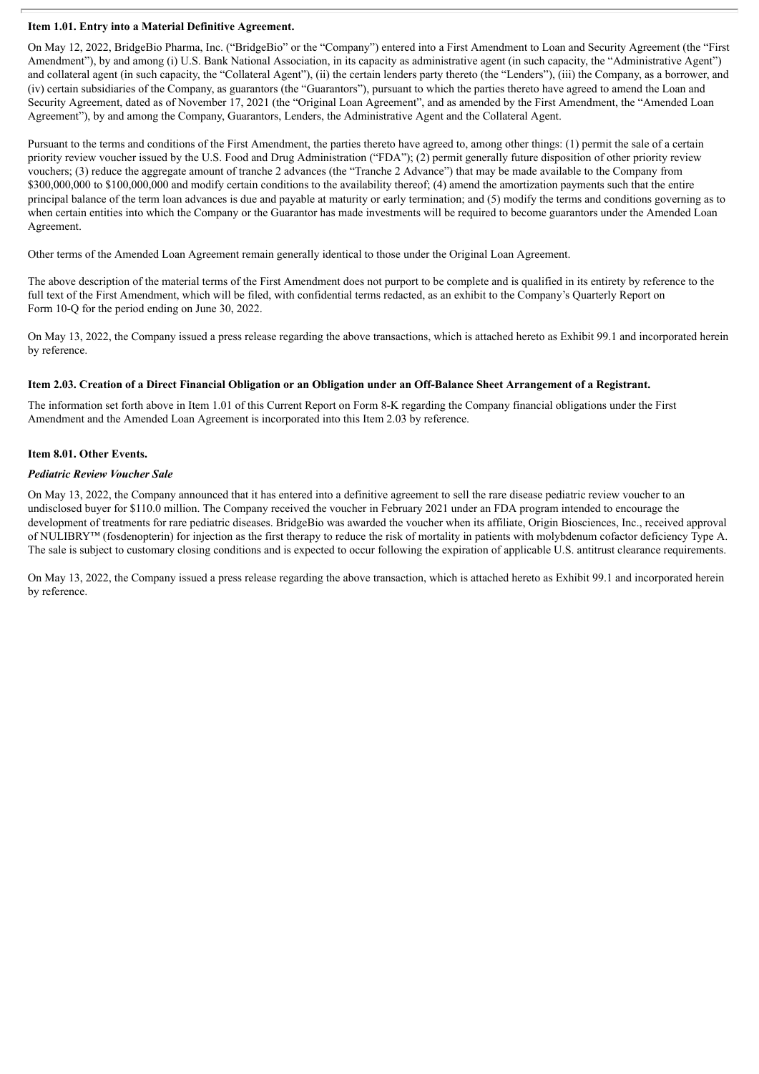#### **Item 1.01. Entry into a Material Definitive Agreement.**

On May 12, 2022, BridgeBio Pharma, Inc. ("BridgeBio" or the "Company") entered into a First Amendment to Loan and Security Agreement (the "First Amendment"), by and among (i) U.S. Bank National Association, in its capacity as administrative agent (in such capacity, the "Administrative Agent") and collateral agent (in such capacity, the "Collateral Agent"), (ii) the certain lenders party thereto (the "Lenders"), (iii) the Company, as a borrower, and (iv) certain subsidiaries of the Company, as guarantors (the "Guarantors"), pursuant to which the parties thereto have agreed to amend the Loan and Security Agreement, dated as of November 17, 2021 (the "Original Loan Agreement", and as amended by the First Amendment, the "Amended Loan Agreement"), by and among the Company, Guarantors, Lenders, the Administrative Agent and the Collateral Agent.

Pursuant to the terms and conditions of the First Amendment, the parties thereto have agreed to, among other things: (1) permit the sale of a certain priority review voucher issued by the U.S. Food and Drug Administration ("FDA"); (2) permit generally future disposition of other priority review vouchers; (3) reduce the aggregate amount of tranche 2 advances (the "Tranche 2 Advance") that may be made available to the Company from \$300,000,000 to \$100,000,000 and modify certain conditions to the availability thereof; (4) amend the amortization payments such that the entire principal balance of the term loan advances is due and payable at maturity or early termination; and (5) modify the terms and conditions governing as to when certain entities into which the Company or the Guarantor has made investments will be required to become guarantors under the Amended Loan Agreement.

Other terms of the Amended Loan Agreement remain generally identical to those under the Original Loan Agreement.

The above description of the material terms of the First Amendment does not purport to be complete and is qualified in its entirety by reference to the full text of the First Amendment, which will be filed, with confidential terms redacted, as an exhibit to the Company's Quarterly Report on Form 10-Q for the period ending on June 30, 2022.

On May 13, 2022, the Company issued a press release regarding the above transactions, which is attached hereto as Exhibit 99.1 and incorporated herein by reference.

#### Item 2.03. Creation of a Direct Financial Obligation or an Obligation under an Off-Balance Sheet Arrangement of a Registrant.

The information set forth above in Item 1.01 of this Current Report on Form 8-K regarding the Company financial obligations under the First Amendment and the Amended Loan Agreement is incorporated into this Item 2.03 by reference.

#### **Item 8.01. Other Events.**

#### *Pediatric Review Voucher Sale*

On May 13, 2022, the Company announced that it has entered into a definitive agreement to sell the rare disease pediatric review voucher to an undisclosed buyer for \$110.0 million. The Company received the voucher in February 2021 under an FDA program intended to encourage the development of treatments for rare pediatric diseases. BridgeBio was awarded the voucher when its affiliate, Origin Biosciences, Inc., received approval of NULIBRY™ (fosdenopterin) for injection as the first therapy to reduce the risk of mortality in patients with molybdenum cofactor deficiency Type A. The sale is subject to customary closing conditions and is expected to occur following the expiration of applicable U.S. antitrust clearance requirements.

On May 13, 2022, the Company issued a press release regarding the above transaction, which is attached hereto as Exhibit 99.1 and incorporated herein by reference.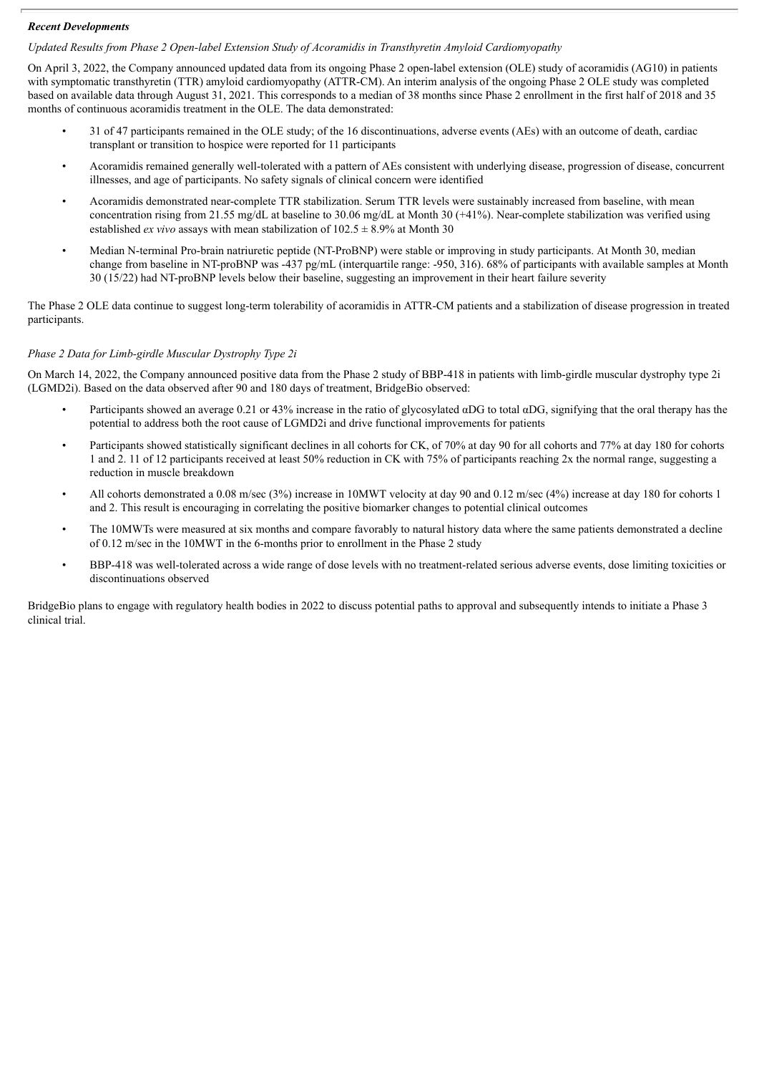#### *Recent Developments*

*Updated Results from Phase 2 Open-label Extension Study of Acoramidis in Transthyretin Amyloid Cardiomyopathy*

On April 3, 2022, the Company announced updated data from its ongoing Phase 2 open-label extension (OLE) study of acoramidis (AG10) in patients with symptomatic transthyretin (TTR) amyloid cardiomyopathy (ATTR-CM). An interim analysis of the ongoing Phase 2 OLE study was completed based on available data through August 31, 2021. This corresponds to a median of 38 months since Phase 2 enrollment in the first half of 2018 and 35 months of continuous acoramidis treatment in the OLE. The data demonstrated:

- 31 of 47 participants remained in the OLE study; of the 16 discontinuations, adverse events (AEs) with an outcome of death, cardiac transplant or transition to hospice were reported for 11 participants
- Acoramidis remained generally well-tolerated with a pattern of AEs consistent with underlying disease, progression of disease, concurrent illnesses, and age of participants. No safety signals of clinical concern were identified
- Acoramidis demonstrated near-complete TTR stabilization. Serum TTR levels were sustainably increased from baseline, with mean concentration rising from 21.55 mg/dL at baseline to 30.06 mg/dL at Month 30 (+41%). Near-complete stabilization was verified using established *ex vivo* assays with mean stabilization of  $102.5 \pm 8.9\%$  at Month 30
- Median N-terminal Pro-brain natriuretic peptide (NT-ProBNP) were stable or improving in study participants. At Month 30, median change from baseline in NT-proBNP was -437 pg/mL (interquartile range: -950, 316). 68% of participants with available samples at Month 30 (15/22) had NT-proBNP levels below their baseline, suggesting an improvement in their heart failure severity

The Phase 2 OLE data continue to suggest long-term tolerability of acoramidis in ATTR-CM patients and a stabilization of disease progression in treated participants.

#### *Phase 2 Data for Limb-girdle Muscular Dystrophy Type 2i*

On March 14, 2022, the Company announced positive data from the Phase 2 study of BBP-418 in patients with limb-girdle muscular dystrophy type 2i (LGMD2i). Based on the data observed after 90 and 180 days of treatment, BridgeBio observed:

- Participants showed an average 0.21 or 43% increase in the ratio of glycosylated αDG to total αDG, signifying that the oral therapy has the potential to address both the root cause of LGMD2i and drive functional improvements for patients
- Participants showed statistically significant declines in all cohorts for CK, of 70% at day 90 for all cohorts and 77% at day 180 for cohorts 1 and 2. 11 of 12 participants received at least 50% reduction in CK with 75% of participants reaching 2x the normal range, suggesting a reduction in muscle breakdown
- All cohorts demonstrated a 0.08 m/sec (3%) increase in 10MWT velocity at day 90 and 0.12 m/sec (4%) increase at day 180 for cohorts 1 and 2. This result is encouraging in correlating the positive biomarker changes to potential clinical outcomes
- The 10MWTs were measured at six months and compare favorably to natural history data where the same patients demonstrated a decline of 0.12 m/sec in the 10MWT in the 6-months prior to enrollment in the Phase 2 study
- BBP-418 was well-tolerated across a wide range of dose levels with no treatment-related serious adverse events, dose limiting toxicities or discontinuations observed

BridgeBio plans to engage with regulatory health bodies in 2022 to discuss potential paths to approval and subsequently intends to initiate a Phase 3 clinical trial.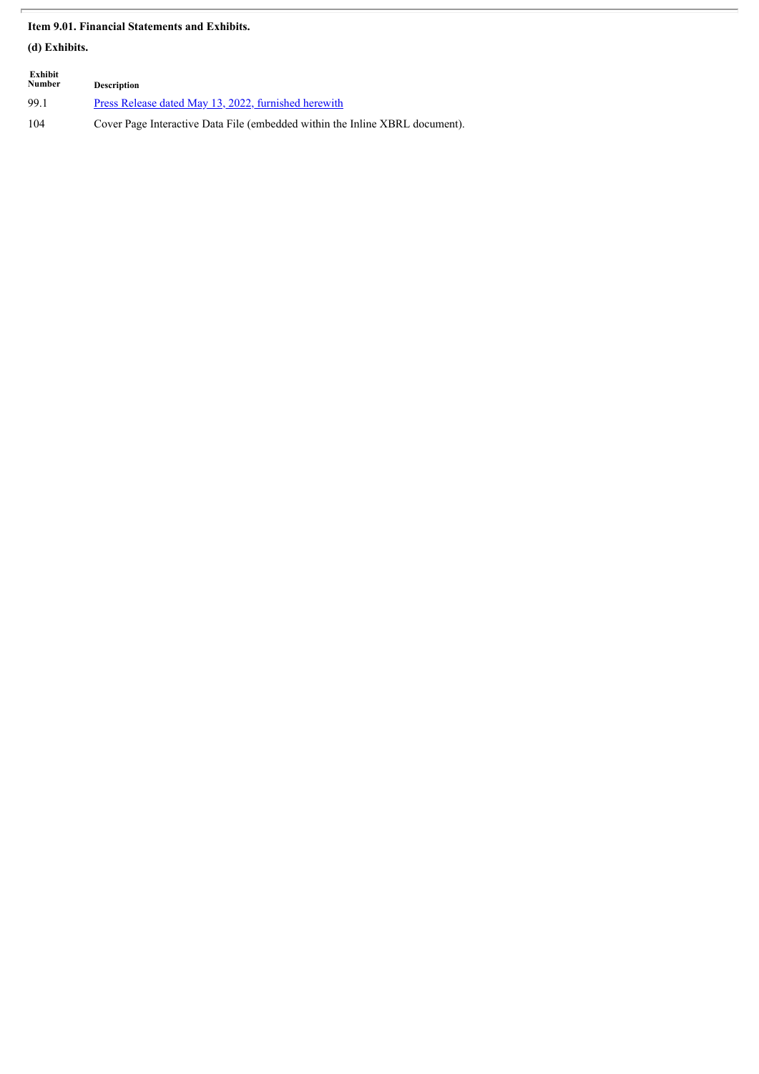#### **Item 9.01. Financial Statements and Exhibits.**

**(d) Exhibits.**

| Exhibit<br>Number | <b>Description</b>                                                           |
|-------------------|------------------------------------------------------------------------------|
| 99.1              | Press Release dated May 13, 2022, furnished herewith                         |
| 104               | Cover Page Interactive Data File (embedded within the Inline XBRL document). |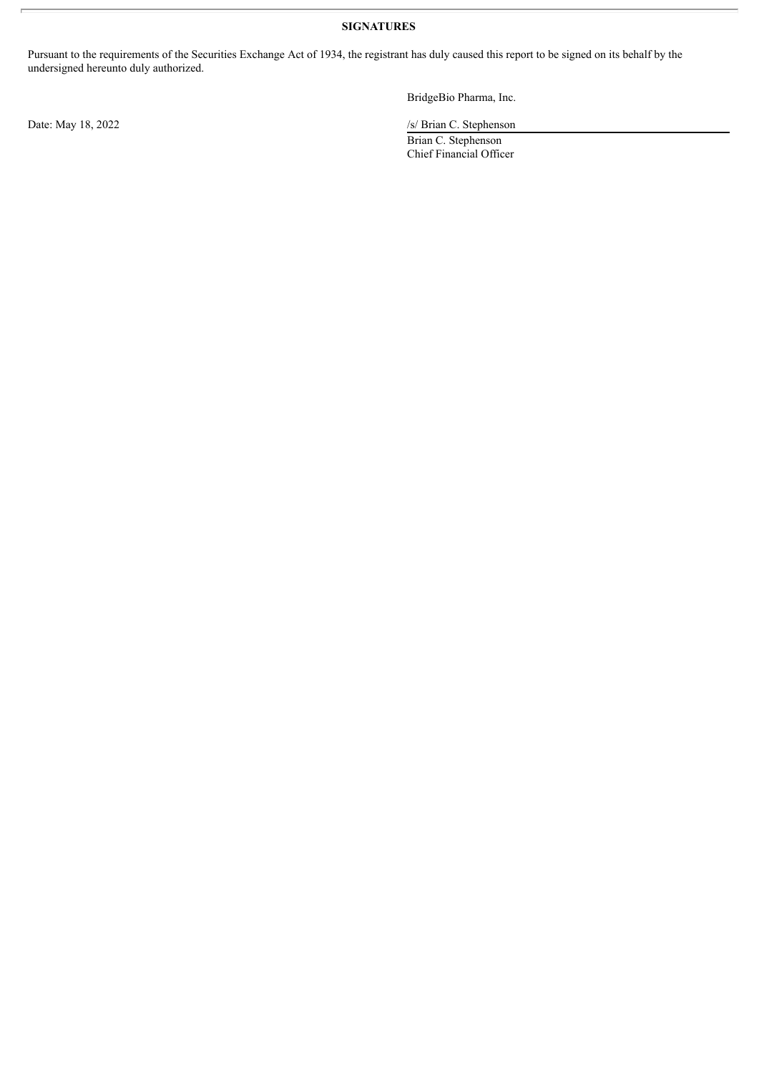#### **SIGNATURES**

Pursuant to the requirements of the Securities Exchange Act of 1934, the registrant has duly caused this report to be signed on its behalf by the undersigned hereunto duly authorized.

BridgeBio Pharma, Inc.

Date: May 18, 2022 /s/ Brian C. Stephenson

Brian C. Stephenson Chief Financial Officer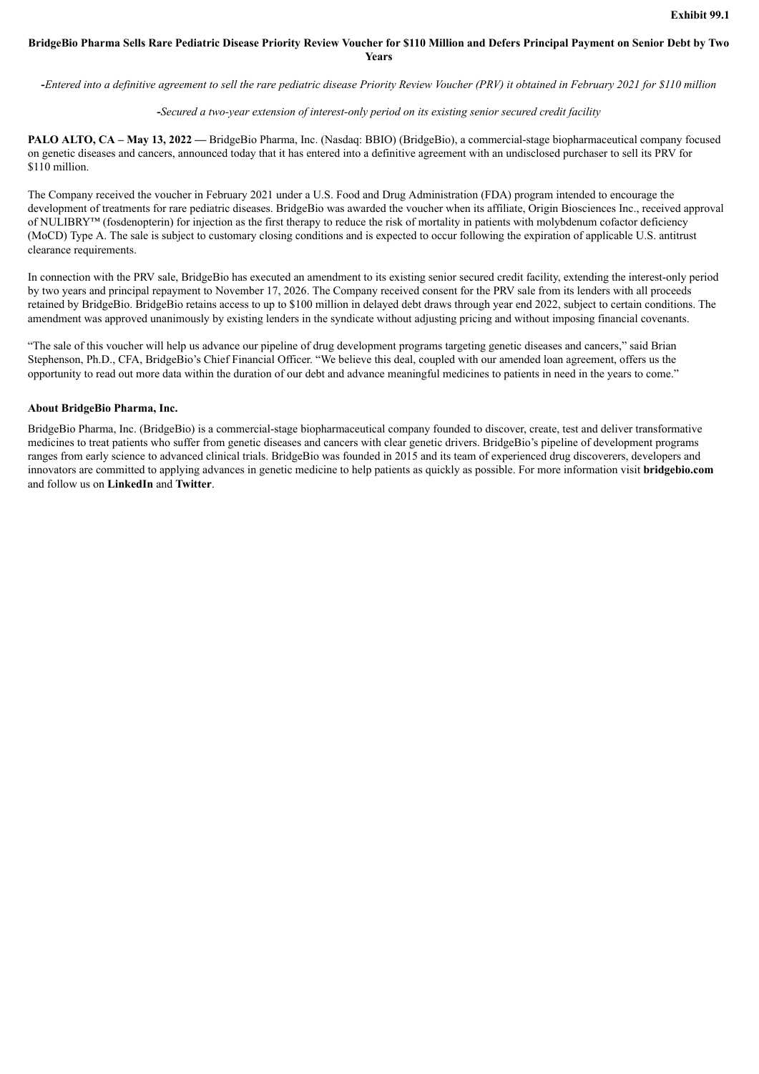#### <span id="page-5-0"></span>BridgeBio Pharma Sells Rare Pediatric Disease Priority Review Voucher for \$110 Million and Defers Principal Payment on Senior Debt by Two **Years**

-Entered into a definitive agreement to sell the rare pediatric disease Priority Review Voucher (PRV) it obtained in February 2021 for \$110 million

#### **-***Secured a two-year extension of interest-only period on its existing senior secured credit facility*

**PALO ALTO, CA – May 13, 2022 —** BridgeBio Pharma, Inc. (Nasdaq: BBIO) (BridgeBio), a commercial-stage biopharmaceutical company focused on genetic diseases and cancers, announced today that it has entered into a definitive agreement with an undisclosed purchaser to sell its PRV for \$110 million.

The Company received the voucher in February 2021 under a U.S. Food and Drug Administration (FDA) program intended to encourage the development of treatments for rare pediatric diseases. BridgeBio was awarded the voucher when its affiliate. Origin Biosciences Inc., received approval of NULIBRY™ (fosdenopterin) for injection as the first therapy to reduce the risk of mortality in patients with molybdenum cofactor deficiency (MoCD) Type A. The sale is subject to customary closing conditions and is expected to occur following the expiration of applicable U.S. antitrust clearance requirements.

In connection with the PRV sale, BridgeBio has executed an amendment to its existing senior secured credit facility, extending the interest-only period by two years and principal repayment to November 17, 2026. The Company received consent for the PRV sale from its lenders with all proceeds retained by BridgeBio. BridgeBio retains access to up to \$100 million in delayed debt draws through year end 2022, subject to certain conditions. The amendment was approved unanimously by existing lenders in the syndicate without adjusting pricing and without imposing financial covenants.

"The sale of this voucher will help us advance our pipeline of drug development programs targeting genetic diseases and cancers," said Brian Stephenson, Ph.D., CFA, BridgeBio's Chief Financial Officer. "We believe this deal, coupled with our amended loan agreement, offers us the opportunity to read out more data within the duration of our debt and advance meaningful medicines to patients in need in the years to come."

#### **About BridgeBio Pharma, Inc.**

BridgeBio Pharma, Inc. (BridgeBio) is a commercial-stage biopharmaceutical company founded to discover, create, test and deliver transformative medicines to treat patients who suffer from genetic diseases and cancers with clear genetic drivers. BridgeBio's pipeline of development programs ranges from early science to advanced clinical trials. BridgeBio was founded in 2015 and its team of experienced drug discoverers, developers and innovators are committed to applying advances in genetic medicine to help patients as quickly as possible. For more information visit **bridgebio.com** and follow us on **LinkedIn** and **Twitter**.